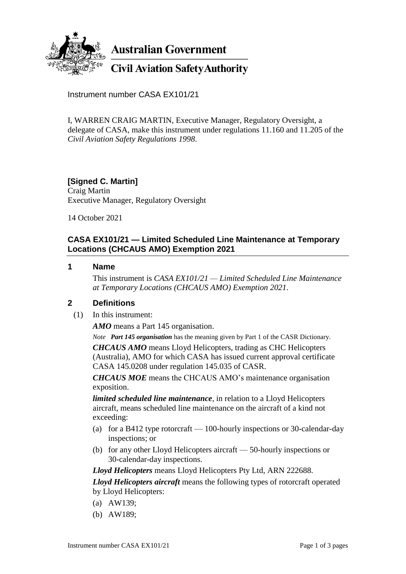

**Australian Government** 

# **Civil Aviation Safety Authority**

Instrument number CASA EX101/21

I, WARREN CRAIG MARTIN, Executive Manager, Regulatory Oversight, a delegate of CASA, make this instrument under regulations 11.160 and 11.205 of the *Civil Aviation Safety Regulations 1998*.

# **[Signed C. Martin]**

Craig Martin Executive Manager, Regulatory Oversight

14 October 2021

## **CASA EX101/21 — Limited Scheduled Line Maintenance at Temporary Locations (CHCAUS AMO) Exemption 2021**

#### **1 Name**

This instrument is *CASA EX101/21 — Limited Scheduled Line Maintenance at Temporary Locations (CHCAUS AMO) Exemption 2021*.

## **2 Definitions**

(1) In this instrument:

*AMO* means a Part 145 organisation.

*Note Part 145 organisation* has the meaning given by Part 1 of the CASR Dictionary.

*CHCAUS AMO* means Lloyd Helicopters, trading as CHC Helicopters (Australia), AMO for which CASA has issued current approval certificate CASA 145.0208 under regulation 145.035 of CASR.

*CHCAUS MOE* means the CHCAUS AMO's maintenance organisation exposition.

*limited scheduled line maintenance*, in relation to a Lloyd Helicopters aircraft, means scheduled line maintenance on the aircraft of a kind not exceeding:

- (a) for a B412 type rotorcraft  $-100$ -hourly inspections or 30-calendar-day inspections; or
- (b) for any other Lloyd Helicopters aircraft 50-hourly inspections or 30-calendar-day inspections.

*Lloyd Helicopters* means Lloyd Helicopters Pty Ltd, ARN 222688.

*Lloyd Helicopters aircraft* means the following types of rotorcraft operated by Lloyd Helicopters:

- (a) AW139;
- (b) AW189;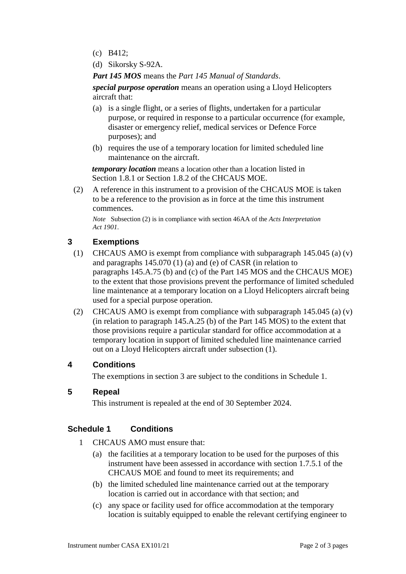- (c) B412;
- (d) Sikorsky S-92A.

*Part 145 MOS* means the *Part 145 Manual of Standards*.

*special purpose operation* means an operation using a Lloyd Helicopters aircraft that:

- (a) is a single flight, or a series of flights, undertaken for a particular purpose, or required in response to a particular occurrence (for example, disaster or emergency relief, medical services or Defence Force purposes); and
- (b) requires the use of a temporary location for limited scheduled line maintenance on the aircraft.

*temporary location* means a location other than a location listed in Section 1.8.1 or Section 1.8.2 of the CHCAUS MOE.

(2) A reference in this instrument to a provision of the CHCAUS MOE is taken to be a reference to the provision as in force at the time this instrument commences.

*Note* Subsection (2) is in compliance with section 46AA of the *Acts Interpretation Act 1901*.

## **3 Exemptions**

- (1) CHCAUS AMO is exempt from compliance with subparagraph 145.045 (a) (v) and paragraphs 145.070 (1) (a) and (e) of CASR (in relation to paragraphs 145.A.75 (b) and (c) of the Part 145 MOS and the CHCAUS MOE) to the extent that those provisions prevent the performance of limited scheduled line maintenance at a temporary location on a Lloyd Helicopters aircraft being used for a special purpose operation.
- (2) CHCAUS AMO is exempt from compliance with subparagraph  $145.045$  (a) (v) (in relation to paragraph 145.A.25 (b) of the Part 145 MOS) to the extent that those provisions require a particular standard for office accommodation at a temporary location in support of limited scheduled line maintenance carried out on a Lloyd Helicopters aircraft under subsection (1).

## **4 Conditions**

The exemptions in section 3 are subject to the conditions in Schedule 1.

### **5 Repeal**

This instrument is repealed at the end of 30 September 2024.

#### **Schedule 1 Conditions**

- 1 CHCAUS AMO must ensure that:
	- (a) the facilities at a temporary location to be used for the purposes of this instrument have been assessed in accordance with section 1.7.5.1 of the CHCAUS MOE and found to meet its requirements; and
	- (b) the limited scheduled line maintenance carried out at the temporary location is carried out in accordance with that section; and
	- (c) any space or facility used for office accommodation at the temporary location is suitably equipped to enable the relevant certifying engineer to